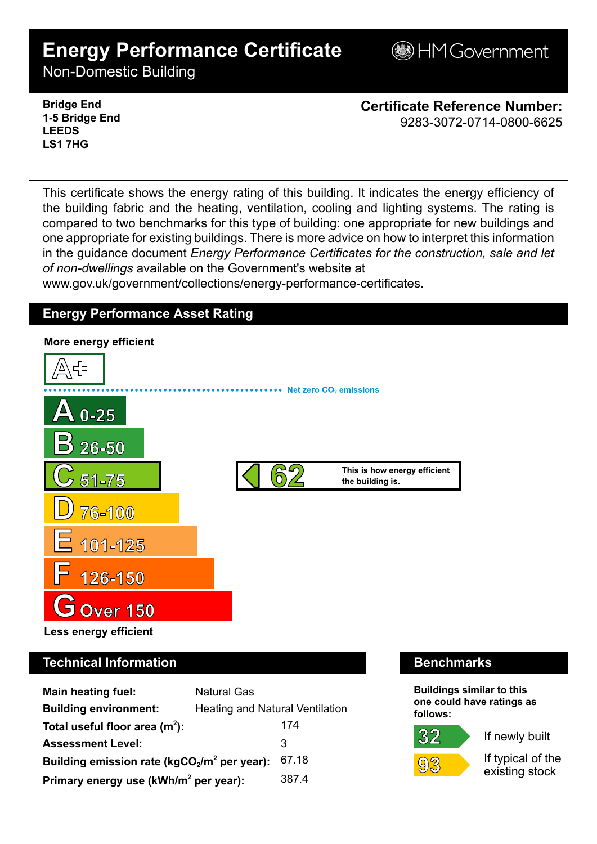# **Energy Performance Certificate**

**BHM Government** 

Non-Domestic Building

**Bridge End 1-5 Bridge End LEEDS LS1 7HG**

**Certificate Reference Number:** 9283-3072-0714-0800-6625

This certificate shows the energy rating of this building. It indicates the energy efficiency of the building fabric and the heating, ventilation, cooling and lighting systems. The rating is compared to two benchmarks for this type of building: one appropriate for new buildings and one appropriate for existing buildings. There is more advice on how to interpret this information in the guidance document *Energy Performance Certificates for the construction, sale and let of non-dwellings* available on the Government's website at

www.gov.uk/government/collections/energy-performance-certificates.

## **Energy Performance Asset Rating**



# **Technical Information Benchmarks**

| <b>Main heating fuel:</b>                         | <b>Natural Gas</b>                     |       |
|---------------------------------------------------|----------------------------------------|-------|
| <b>Building environment:</b>                      | <b>Heating and Natural Ventilation</b> |       |
| Total useful floor area $(m2)$ :                  |                                        | 174   |
| <b>Assessment Level:</b>                          |                                        | 3     |
| Building emission rate ( $kgCO2/m2$ per year):    |                                        | 67.18 |
| Primary energy use (kWh/m <sup>2</sup> per year): |                                        | 387.4 |

**Buildings similar to this one could have ratings as follows:**

# 32



If newly built

If typical of the existing stock